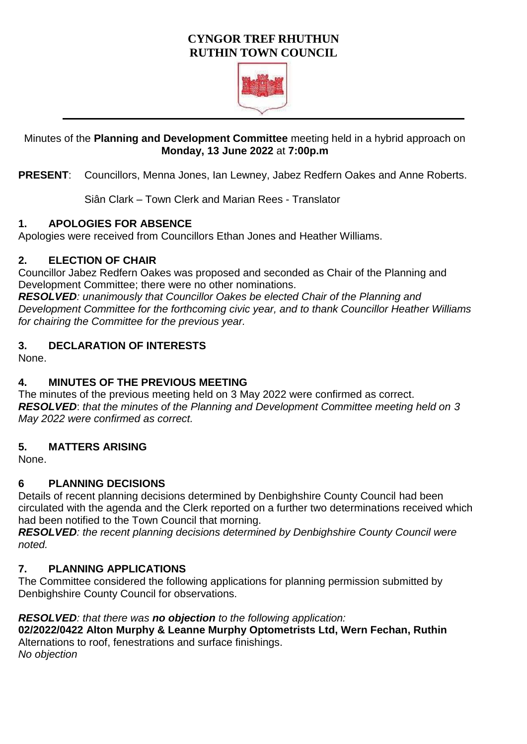## **CYNGOR TREF RHUTHUN RUTHIN TOWN COUNCIL**



#### Minutes of the **Planning and Development Committee** meeting held in a hybrid approach on **Monday, 13 June 2022** at **7:00p.m**

**PRESENT**: Councillors, Menna Jones, Ian Lewney, Jabez Redfern Oakes and Anne Roberts.

Siân Clark – Town Clerk and Marian Rees - Translator

#### **1. APOLOGIES FOR ABSENCE**

Apologies were received from Councillors Ethan Jones and Heather Williams.

#### **2. ELECTION OF CHAIR**

Councillor Jabez Redfern Oakes was proposed and seconded as Chair of the Planning and Development Committee; there were no other nominations.

*RESOLVED: unanimously that Councillor Oakes be elected Chair of the Planning and Development Committee for the forthcoming civic year, and to thank Councillor Heather Williams for chairing the Committee for the previous year.* 

## **3. DECLARATION OF INTERESTS**

None.

## **4. MINUTES OF THE PREVIOUS MEETING**

The minutes of the previous meeting held on 3 May 2022 were confirmed as correct. *RESOLVED*: *that the minutes of the Planning and Development Committee meeting held on 3 May 2022 were confirmed as correct.* 

## **5. MATTERS ARISING**

None.

## **6 PLANNING DECISIONS**

Details of recent planning decisions determined by Denbighshire County Council had been circulated with the agenda and the Clerk reported on a further two determinations received which had been notified to the Town Council that morning.

*RESOLVED: the recent planning decisions determined by Denbighshire County Council were noted.* 

## **7. PLANNING APPLICATIONS**

The Committee considered the following applications for planning permission submitted by Denbighshire County Council for observations.

#### *RESOLVED: that there was no objection to the following application:*

**02/2022/0422 Alton Murphy & Leanne Murphy Optometrists Ltd, Wern Fechan, Ruthin** Alternations to roof, fenestrations and surface finishings. *No objection*